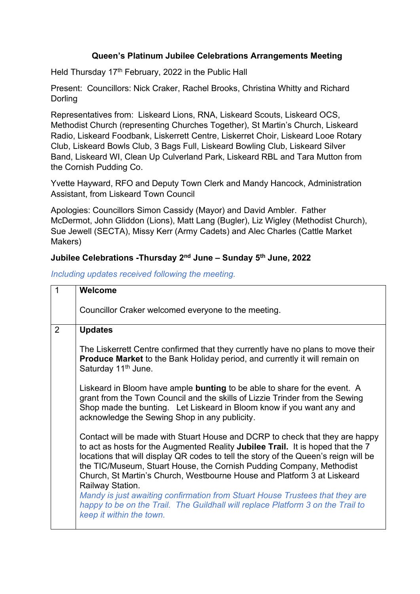## **Queen's Platinum Jubilee Celebrations Arrangements Meeting**

Held Thursday 17<sup>th</sup> February, 2022 in the Public Hall

Present: Councillors: Nick Craker, Rachel Brooks, Christina Whitty and Richard Dorling

Representatives from: Liskeard Lions, RNA, Liskeard Scouts, Liskeard OCS, Methodist Church (representing Churches Together), St Martin's Church, Liskeard Radio, Liskeard Foodbank, Liskerrett Centre, Liskerret Choir, Liskeard Looe Rotary Club, Liskeard Bowls Club, 3 Bags Full, Liskeard Bowling Club, Liskeard Silver Band, Liskeard WI, Clean Up Culverland Park, Liskeard RBL and Tara Mutton from the Cornish Pudding Co.

Yvette Hayward, RFO and Deputy Town Clerk and Mandy Hancock, Administration Assistant, from Liskeard Town Council

Apologies: Councillors Simon Cassidy (Mayor) and David Ambler. Father McDermot, John Gliddon (Lions), Matt Lang (Bugler), Liz Wigley (Methodist Church), Sue Jewell (SECTA), Missy Kerr (Army Cadets) and Alec Charles (Cattle Market Makers)

## **Jubilee Celebrations -Thursday 2nd June – Sunday 5th June, 2022**

*Including updates received following the meeting.*

| 1 | <b>Welcome</b>                                                                                                                                                                                                                                                                                                                                                                                                                                                                                                                                                                                                               |
|---|------------------------------------------------------------------------------------------------------------------------------------------------------------------------------------------------------------------------------------------------------------------------------------------------------------------------------------------------------------------------------------------------------------------------------------------------------------------------------------------------------------------------------------------------------------------------------------------------------------------------------|
|   | Councillor Craker welcomed everyone to the meeting.                                                                                                                                                                                                                                                                                                                                                                                                                                                                                                                                                                          |
| 2 | <b>Updates</b>                                                                                                                                                                                                                                                                                                                                                                                                                                                                                                                                                                                                               |
|   | The Liskerrett Centre confirmed that they currently have no plans to move their<br><b>Produce Market</b> to the Bank Holiday period, and currently it will remain on<br>Saturday 11 <sup>th</sup> June.                                                                                                                                                                                                                                                                                                                                                                                                                      |
|   | Liskeard in Bloom have ample bunting to be able to share for the event. A<br>grant from the Town Council and the skills of Lizzie Trinder from the Sewing<br>Shop made the bunting. Let Liskeard in Bloom know if you want any and<br>acknowledge the Sewing Shop in any publicity.                                                                                                                                                                                                                                                                                                                                          |
|   | Contact will be made with Stuart House and DCRP to check that they are happy<br>to act as hosts for the Augmented Reality Jubilee Trail. It is hoped that the 7<br>locations that will display QR codes to tell the story of the Queen's reign will be<br>the TIC/Museum, Stuart House, the Cornish Pudding Company, Methodist<br>Church, St Martin's Church, Westbourne House and Platform 3 at Liskeard<br>Railway Station.<br>Mandy is just awaiting confirmation from Stuart House Trustees that they are<br>happy to be on the Trail. The Guildhall will replace Platform 3 on the Trail to<br>keep it within the town. |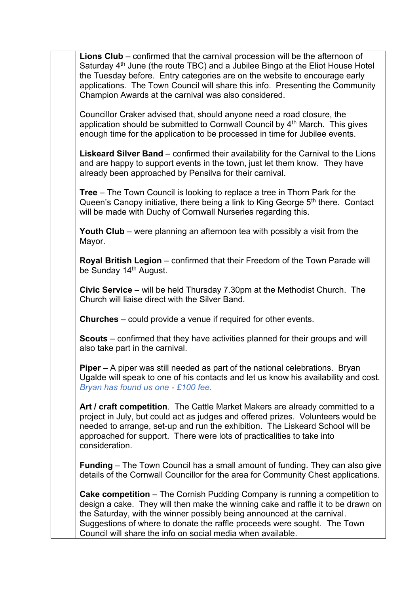**Lions Club** – confirmed that the carnival procession will be the afternoon of Saturday  $4<sup>th</sup>$  June (the route TBC) and a Jubilee Bingo at the Eliot House Hotel the Tuesday before. Entry categories are on the website to encourage early applications. The Town Council will share this info. Presenting the Community Champion Awards at the carnival was also considered. Councillor Craker advised that, should anyone need a road closure, the application should be submitted to Cornwall Council by  $4<sup>th</sup>$  March. This gives enough time for the application to be processed in time for Jubilee events. **Liskeard Silver Band** – confirmed their availability for the Carnival to the Lions and are happy to support events in the town, just let them know. They have already been approached by Pensilva for their carnival. **Tree** – The Town Council is looking to replace a tree in Thorn Park for the Queen's Canopy initiative, there being a link to King George  $5<sup>th</sup>$  there. Contact will be made with Duchy of Cornwall Nurseries regarding this. **Youth Club** – were planning an afternoon tea with possibly a visit from the Mayor. **Royal British Legion** – confirmed that their Freedom of the Town Parade will be Sunday 14<sup>th</sup> August. **Civic Service** – will be held Thursday 7.30pm at the Methodist Church. The Church will liaise direct with the Silver Band. **Churches** – could provide a venue if required for other events. **Scouts** – confirmed that they have activities planned for their groups and will also take part in the carnival. **Piper** – A piper was still needed as part of the national celebrations. Bryan Ugalde will speak to one of his contacts and let us know his availability and cost. *Bryan has found us one - £100 fee.*  **Art / craft competition**. The Cattle Market Makers are already committed to a project in July, but could act as judges and offered prizes. Volunteers would be needed to arrange, set-up and run the exhibition. The Liskeard School will be approached for support. There were lots of practicalities to take into consideration. **Funding** – The Town Council has a small amount of funding. They can also give details of the Cornwall Councillor for the area for Community Chest applications. **Cake competition** – The Cornish Pudding Company is running a competition to design a cake. They will then make the winning cake and raffle it to be drawn on the Saturday, with the winner possibly being announced at the carnival. Suggestions of where to donate the raffle proceeds were sought. The Town Council will share the info on social media when available.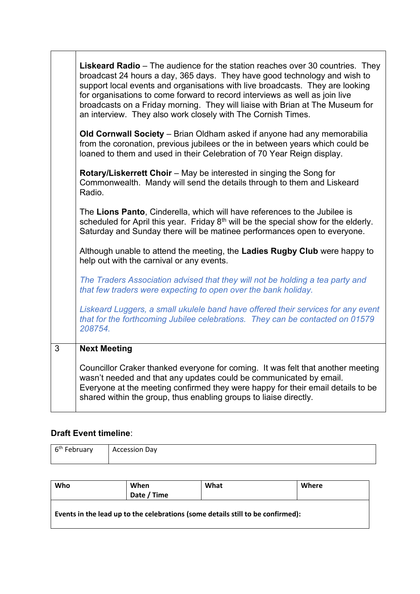|   | <b>Liskeard Radio</b> – The audience for the station reaches over 30 countries. They<br>broadcast 24 hours a day, 365 days. They have good technology and wish to<br>support local events and organisations with live broadcasts. They are looking<br>for organisations to come forward to record interviews as well as join live<br>broadcasts on a Friday morning. They will liaise with Brian at The Museum for<br>an interview. They also work closely with The Cornish Times. |
|---|------------------------------------------------------------------------------------------------------------------------------------------------------------------------------------------------------------------------------------------------------------------------------------------------------------------------------------------------------------------------------------------------------------------------------------------------------------------------------------|
|   | Old Cornwall Society - Brian Oldham asked if anyone had any memorabilia<br>from the coronation, previous jubilees or the in between years which could be<br>loaned to them and used in their Celebration of 70 Year Reign display.                                                                                                                                                                                                                                                 |
|   | <b>Rotary/Liskerrett Choir</b> – May be interested in singing the Song for<br>Commonwealth. Mandy will send the details through to them and Liskeard<br>Radio.                                                                                                                                                                                                                                                                                                                     |
|   | The Lions Panto, Cinderella, which will have references to the Jubilee is<br>scheduled for April this year. Friday 8 <sup>th</sup> will be the special show for the elderly.<br>Saturday and Sunday there will be matinee performances open to everyone.                                                                                                                                                                                                                           |
|   | Although unable to attend the meeting, the Ladies Rugby Club were happy to<br>help out with the carnival or any events.                                                                                                                                                                                                                                                                                                                                                            |
|   | The Traders Association advised that they will not be holding a tea party and<br>that few traders were expecting to open over the bank holiday.                                                                                                                                                                                                                                                                                                                                    |
|   | Liskeard Luggers, a small ukulele band have offered their services for any event<br>that for the forthcoming Jubilee celebrations. They can be contacted on 01579<br>208754.                                                                                                                                                                                                                                                                                                       |
| 3 | <b>Next Meeting</b>                                                                                                                                                                                                                                                                                                                                                                                                                                                                |
|   | Councillor Craker thanked everyone for coming. It was felt that another meeting<br>wasn't needed and that any updates could be communicated by email.<br>Everyone at the meeting confirmed they were happy for their email details to be<br>shared within the group, thus enabling groups to liaise directly.                                                                                                                                                                      |

## **Draft Event timeline**:

| 6 <sup>th</sup> February | <b>Accession Day</b> |
|--------------------------|----------------------|
|                          |                      |

| Who                                                                             | When        | What | Where |  |  |
|---------------------------------------------------------------------------------|-------------|------|-------|--|--|
|                                                                                 | Date / Time |      |       |  |  |
| Events in the lead up to the celebrations (some details still to be confirmed): |             |      |       |  |  |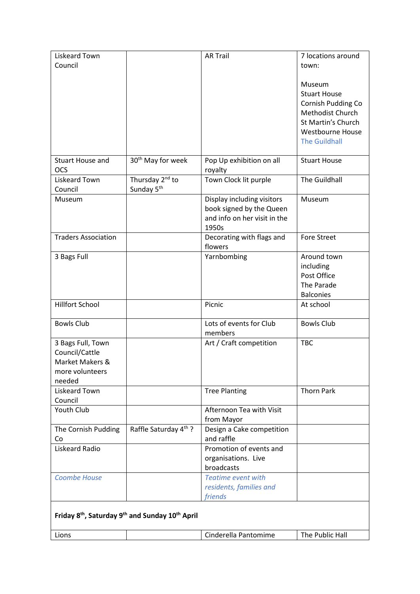| Liskeard Town              |                                                                                     | <b>AR Trail</b>                         | 7 locations around      |  |  |
|----------------------------|-------------------------------------------------------------------------------------|-----------------------------------------|-------------------------|--|--|
| Council                    |                                                                                     |                                         | town:                   |  |  |
|                            |                                                                                     |                                         |                         |  |  |
|                            |                                                                                     |                                         | Museum                  |  |  |
|                            |                                                                                     |                                         | <b>Stuart House</b>     |  |  |
|                            |                                                                                     |                                         | Cornish Pudding Co      |  |  |
|                            |                                                                                     |                                         | Methodist Church        |  |  |
|                            |                                                                                     |                                         | St Martin's Church      |  |  |
|                            |                                                                                     |                                         | <b>Westbourne House</b> |  |  |
|                            |                                                                                     |                                         | <b>The Guildhall</b>    |  |  |
|                            |                                                                                     |                                         |                         |  |  |
| <b>Stuart House and</b>    | 30 <sup>th</sup> May for week                                                       | Pop Up exhibition on all                | <b>Stuart House</b>     |  |  |
| <b>OCS</b>                 |                                                                                     | royalty                                 |                         |  |  |
| Liskeard Town              | Thursday 2 <sup>nd</sup> to                                                         | Town Clock lit purple                   | The Guildhall           |  |  |
| Council                    | Sunday 5 <sup>th</sup>                                                              |                                         |                         |  |  |
| Museum                     |                                                                                     | Display including visitors              | Museum                  |  |  |
|                            |                                                                                     | book signed by the Queen                |                         |  |  |
|                            |                                                                                     | and info on her visit in the            |                         |  |  |
|                            |                                                                                     | 1950s                                   |                         |  |  |
| <b>Traders Association</b> |                                                                                     | Decorating with flags and               | <b>Fore Street</b>      |  |  |
|                            |                                                                                     | flowers                                 |                         |  |  |
| 3 Bags Full                |                                                                                     | Yarnbombing                             | Around town             |  |  |
|                            |                                                                                     |                                         | including               |  |  |
|                            |                                                                                     |                                         | Post Office             |  |  |
|                            |                                                                                     |                                         | The Parade              |  |  |
|                            |                                                                                     |                                         | <b>Balconies</b>        |  |  |
| <b>Hillfort School</b>     |                                                                                     | Picnic                                  | At school               |  |  |
|                            |                                                                                     |                                         |                         |  |  |
| <b>Bowls Club</b>          |                                                                                     | Lots of events for Club                 | <b>Bowls Club</b>       |  |  |
|                            |                                                                                     | members                                 |                         |  |  |
| 3 Bags Full, Town          |                                                                                     | Art / Craft competition                 | <b>TBC</b>              |  |  |
| Council/Cattle             |                                                                                     |                                         |                         |  |  |
| Market Makers &            |                                                                                     |                                         |                         |  |  |
| more volunteers            |                                                                                     |                                         |                         |  |  |
| needed                     |                                                                                     |                                         |                         |  |  |
| <b>Liskeard Town</b>       |                                                                                     | <b>Tree Planting</b>                    | <b>Thorn Park</b>       |  |  |
| Council                    |                                                                                     |                                         |                         |  |  |
| Youth Club                 |                                                                                     | Afternoon Tea with Visit                |                         |  |  |
|                            |                                                                                     |                                         |                         |  |  |
|                            | Raffle Saturday 4th ?                                                               | from Mayor                              |                         |  |  |
| The Cornish Pudding        |                                                                                     | Design a Cake competition<br>and raffle |                         |  |  |
| Co                         |                                                                                     |                                         |                         |  |  |
| Liskeard Radio             |                                                                                     | Promotion of events and                 |                         |  |  |
|                            |                                                                                     | organisations. Live                     |                         |  |  |
|                            |                                                                                     | broadcasts                              |                         |  |  |
| <b>Coombe House</b>        |                                                                                     | <b>Teatime event with</b>               |                         |  |  |
|                            |                                                                                     | residents, families and                 |                         |  |  |
|                            |                                                                                     | friends                                 |                         |  |  |
|                            |                                                                                     |                                         |                         |  |  |
|                            | Friday 8 <sup>th</sup> , Saturday 9 <sup>th</sup> and Sunday 10 <sup>th</sup> April |                                         |                         |  |  |
|                            |                                                                                     |                                         |                         |  |  |
| Lions                      |                                                                                     | Cinderella Pantomime                    | The Public Hall         |  |  |